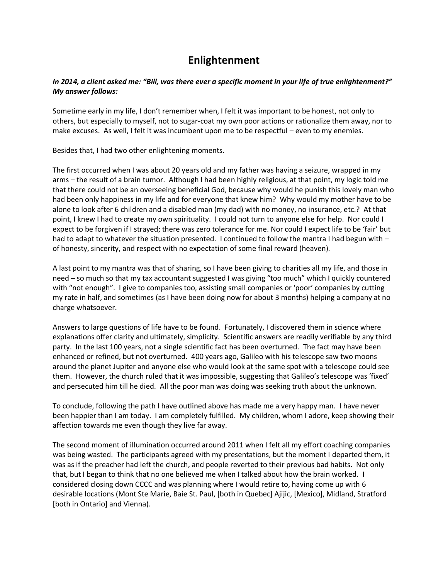## **Enlightenment**

## *In 2014, a client asked me: "Bill, was there ever a specific moment in your life of true enlightenment?" My answer follows:*

Sometime early in my life, I don't remember when, I felt it was important to be honest, not only to others, but especially to myself, not to sugar-coat my own poor actions or rationalize them away, nor to make excuses. As well, I felt it was incumbent upon me to be respectful – even to my enemies.

Besides that, I had two other enlightening moments.

The first occurred when I was about 20 years old and my father was having a seizure, wrapped in my arms – the result of a brain tumor. Although I had been highly religious, at that point, my logic told me that there could not be an overseeing beneficial God, because why would he punish this lovely man who had been only happiness in my life and for everyone that knew him? Why would my mother have to be alone to look after 6 children and a disabled man (my dad) with no money, no insurance, etc.? At that point, I knew I had to create my own spirituality. I could not turn to anyone else for help. Nor could I expect to be forgiven if I strayed; there was zero tolerance for me. Nor could I expect life to be 'fair' but had to adapt to whatever the situation presented. I continued to follow the mantra I had begun with – of honesty, sincerity, and respect with no expectation of some final reward (heaven).

A last point to my mantra was that of sharing, so I have been giving to charities all my life, and those in need – so much so that my tax accountant suggested I was giving "too much" which I quickly countered with "not enough". I give to companies too, assisting small companies or 'poor' companies by cutting my rate in half, and sometimes (as I have been doing now for about 3 months) helping a company at no charge whatsoever.

Answers to large questions of life have to be found. Fortunately, I discovered them in science where explanations offer clarity and ultimately, simplicity. Scientific answers are readily verifiable by any third party. In the last 100 years, not a single scientific fact has been overturned. The fact may have been enhanced or refined, but not overturned. 400 years ago, Galileo with his telescope saw two moons around the planet Jupiter and anyone else who would look at the same spot with a telescope could see them. However, the church ruled that it was impossible, suggesting that Galileo's telescope was 'fixed' and persecuted him till he died. All the poor man was doing was seeking truth about the unknown.

To conclude, following the path I have outlined above has made me a very happy man. I have never been happier than I am today. I am completely fulfilled. My children, whom I adore, keep showing their affection towards me even though they live far away.

The second moment of illumination occurred around 2011 when I felt all my effort coaching companies was being wasted. The participants agreed with my presentations, but the moment I departed them, it was as if the preacher had left the church, and people reverted to their previous bad habits. Not only that, but I began to think that no one believed me when I talked about how the brain worked. I considered closing down CCCC and was planning where I would retire to, having come up with 6 desirable locations (Mont Ste Marie, Baie St. Paul, [both in Quebec] Ajijic, [Mexico], Midland, Stratford [both in Ontario] and Vienna).